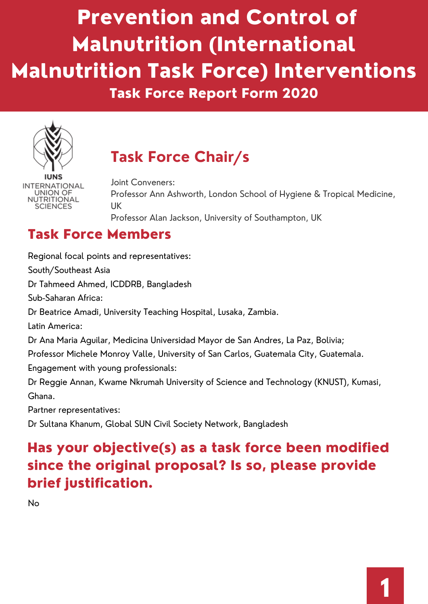# Prevention and Control of Malnutrition (International Malnutrition Task Force) Interventions Task Force Report Form 2020



INTERNATIONAL **UNION OF** NUTRITIONAL SCIENCES

## **Task Force Chair/s**

Joint Conveners: Professor Ann Ashworth, London School of Hygiene & Tropical Medicine, UK Professor Alan Jackson, University of Southampton, UK

### Task Force Members

Regional focal points and representatives: South/Southeast Asia Dr Tahmeed Ahmed, ICDDRB, Bangladesh Sub-Saharan Africa: Dr Beatrice Amadi, University Teaching Hospital, Lusaka, Zambia. Latin America: Dr Ana Maria Aguilar, Medicina Universidad Mayor de San Andres, La Paz, Bolivia; Professor Michele Monroy Valle, University of San Carlos, Guatemala City, Guatemala. Engagement with young professionals: Dr Reggie Annan, Kwame Nkrumah University of Science and Technology (KNUST), Kumasi, Ghana. Partner representatives: Dr Sultana Khanum, Global SUN Civil Society Network, Bangladesh

### Has your objective(s) as a task force been modified since the original proposal? Is so, please provide brief justification.

No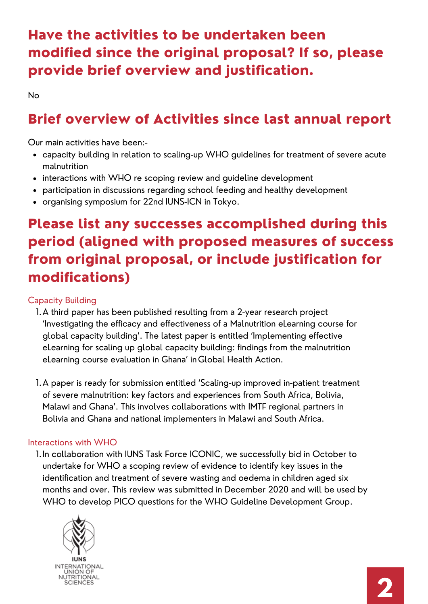### Have the activities to be undertaken been modified since the original proposal? If so, please provide brief overview and justification.

No

#### Brief overview of Activities since last annual report

Our main activities have been:-

- capacity building in relation to scaling-up WHO guidelines for treatment of severe acute malnutrition
- interactions with WHO re scoping review and quideline development
- participation in discussions regarding school feeding and healthy development
- organising symposium for 22nd IUNS-ICN in Tokyo.

### Please list any successes accomplished during this period (aligned with proposed measures of success from original proposal, or include justification for modifications)

#### Capacity Building

- A third paper has been published resulting from a 2-year research project 1. 'Investigating the efficacy and effectiveness of a Malnutrition eLearning course for global capacity building'. The latest paper is entitled 'Implementing effective [eLearning for scaling up global capacity building: findings from the malnutrition](https://protect-eu.mimecast.com/s/mvg8C7XRKimJXrmu2Z9KD?domain=click.email.taylorandfrancis.com) eLearning course evaluation in Ghana' inGlobal Health Action.
- A paper is ready for submission entitled 'Scaling-up improved in-patient treatment 1. of severe malnutrition: key factors and experiences from South Africa, Bolivia, Malawi and Ghana'. This involves collaborations with IMTF regional partners in Bolivia and Ghana and national implementers in Malawi and South Africa.

#### Interactions with WHO

1. In collaboration with IUNS Task Force ICONIC, we successfully bid in October to undertake for WHO a scoping review of evidence to identify key issues in the identification and treatment of severe wasting and oedema in children aged six months and over. This review was submitted in December 2020 and will be used by WHO to develop PICO questions for the WHO Guideline Development Group.